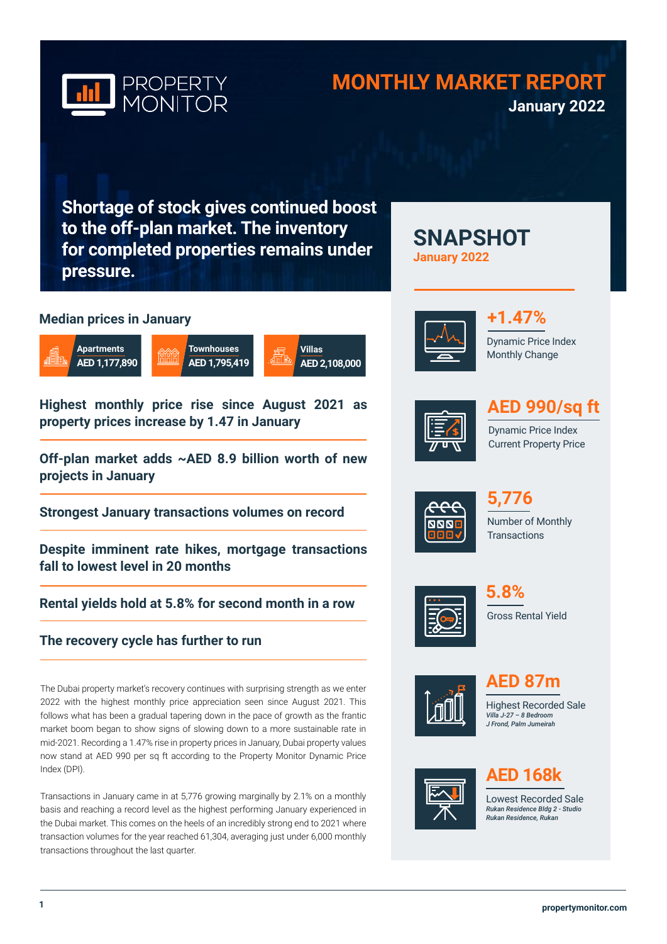

## **MONTHLY MARKET REPORT January 2022**

**SNAPSHOT** 

**Shortage of stock gives continued boost to the off-plan market. The inventory for completed properties remains under pressure.**

### **Median prices in January**







**Highest monthly price rise since August 2021 as property prices increase by 1.47 in January**

**Off-plan market adds ~AED 8.9 billion worth of new projects in January**

**Strongest January transactions volumes on record** 

**Despite imminent rate hikes, mortgage transactions fall to lowest level in 20 months**

**Rental yields hold at 5.8% for second month in a row**

### **The recovery cycle has further to run**

The Dubai property market's recovery continues with surprising strength as we enter 2022 with the highest monthly price appreciation seen since August 2021. This follows what has been a gradual tapering down in the pace of growth as the frantic market boom began to show signs of slowing down to a more sustainable rate in mid-2021. Recording a 1.47% rise in property prices in January, Dubai property values now stand at AED 990 per sq ft according to the Property Monitor Dynamic Price Index (DPI).

Transactions in January came in at 5,776 growing marginally by 2.1% on a monthly basis and reaching a record level as the highest performing January experienced in the Dubai market. This comes on the heels of an incredibly strong end to 2021 where transaction volumes for the year reached 61,304, averaging just under 6,000 monthly transactions throughout the last quarter.



**January 2022**





# **AED 990/sq ft**

Dynamic Price Index Current Property Price



Number of Monthly **Transactions 5,776** 



Gross Rental Yield **5.8%**



**AED 87m**

Highest Recorded Sale *Villa J-27 – 8 Bedroom J Frond, Palm Jumeirah*



## **AED 168k**

Lowest Recorded Sale *Rukan Residence Bldg 2 - Studio Rukan Residence, Rukan*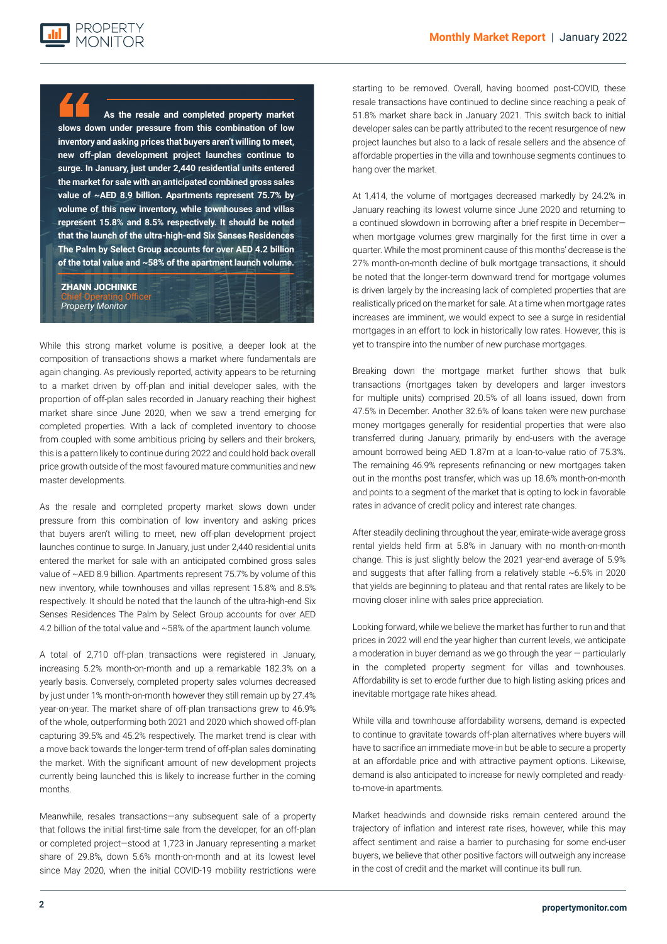

**As the resale and completed property market slows down under pressure from this combination of low inventory and asking prices that buyers aren't willing to meet, new off-plan development project launches continue to surge. In January, just under 2,440 residential units entered the market for sale with an anticipated combined gross sales value of ~AED 8.9 billion. Apartments represent 75.7% by volume of this new inventory, while townhouses and villas represent 15.8% and 8.5% respectively. It should be noted that the launch of the ultra-high-end Six Senses Residences The Palm by Select Group accounts for over AED 4.2 billion of the total value and ~58% of the apartment launch volume.**

### ZHANN JOCHINKE

Chief Operating Officer *Property Monitor*

**Looking for market show completed property** in the villa and the villa and the villa and the United States in the United States in the United States *to up* **States and Europe. However, the relative affordability of Dubai compared to other major global cities and the likely influx of new**  While this strong market volume is positive, a deeper look at the composition of transactions shows a market where fundamentals are again changing. As previously reported, activity appears to be returning to a market driven by off-plan and initial developer sales, with the proportion of off-plan sales recorded in January reaching their highest market share since June 2020, when we saw a trend emerging for completed properties. With a lack of completed inventory to choose from coupled with some ambitious pricing by sellers and their brokers, this is a pattern likely to continue during 2022 and could hold back overall price growth outside of the most favoured mature communities and new master developments.

> As the resale and completed property market slows down under pressure from this combination of low inventory and asking prices that buyers aren't willing to meet, new off-plan development project launches continue to surge. In January, just under 2,440 residential units entered the market for sale with an anticipated combined gross sales value of ~AED 8.9 billion. Apartments represent 75.7% by volume of this new inventory, while townhouses and villas represent 15.8% and 8.5% respectively. It should be noted that the launch of the ultra-high-end Six Senses Residences The Palm by Select Group accounts for over AED 4.2 billion of the total value and ~58% of the apartment launch volume.

> A total of 2,710 off-plan transactions were registered in January, increasing 5.2% month-on-month and up a remarkable 182.3% on a yearly basis. Conversely, completed property sales volumes decreased by just under 1% month-on-month however they still remain up by 27.4% year-on-year. The market share of off-plan transactions grew to 46.9% of the whole, outperforming both 2021 and 2020 which showed off-plan capturing 39.5% and 45.2% respectively. The market trend is clear with a move back towards the longer-term trend of off-plan sales dominating the market. With the significant amount of new development projects currently being launched this is likely to increase further in the coming months.

> Meanwhile, resales transactions—any subsequent sale of a property that follows the initial first-time sale from the developer, for an off-plan or completed project—stood at 1,723 in January representing a market share of 29.8%, down 5.6% month-on-month and at its lowest level since May 2020, when the initial COVID-19 mobility restrictions were

starting to be removed. Overall, having boomed post-COVID, these resale transactions have continued to decline since reaching a peak of 51.8% market share back in January 2021. This switch back to initial developer sales can be partly attributed to the recent resurgence of new project launches but also to a lack of resale sellers and the absence of affordable properties in the villa and townhouse segments continues to hang over the market.

At 1,414, the volume of mortgages decreased markedly by 24.2% in January reaching its lowest volume since June 2020 and returning to a continued slowdown in borrowing after a brief respite in December when mortgage volumes grew marginally for the first time in over a quarter. While the most prominent cause of this months' decrease is the 27% month-on-month decline of bulk mortgage transactions, it should be noted that the longer-term downward trend for mortgage volumes is driven largely by the increasing lack of completed properties that are realistically priced on the market for sale. At a time when mortgage rates increases are imminent, we would expect to see a surge in residential mortgages in an effort to lock in historically low rates. However, this is yet to transpire into the number of new purchase mortgages.

Breaking down the mortgage market further shows that bulk transactions (mortgages taken by developers and larger investors for multiple units) comprised 20.5% of all loans issued, down from 47.5% in December. Another 32.6% of loans taken were new purchase money mortgages generally for residential properties that were also transferred during January, primarily by end-users with the average amount borrowed being AED 1.87m at a loan-to-value ratio of 75.3%. The remaining 46.9% represents refinancing or new mortgages taken out in the months post transfer, which was up 18.6% month-on-month and points to a segment of the market that is opting to lock in favorable rates in advance of credit policy and interest rate changes.

After steadily declining throughout the year, emirate-wide average gross rental yields held firm at 5.8% in January with no month-on-month change. This is just slightly below the 2021 year-end average of 5.9% and suggests that after falling from a relatively stable  $~6.5\%$  in 2020 that yields are beginning to plateau and that rental rates are likely to be moving closer inline with sales price appreciation.

Looking forward, while we believe the market has further to run and that prices in 2022 will end the year higher than current levels, we anticipate a moderation in buyer demand as we go through the year — particularly in the completed property segment for villas and townhouses. Affordability is set to erode further due to high listing asking prices and inevitable mortgage rate hikes ahead.

While villa and townhouse affordability worsens, demand is expected to continue to gravitate towards off-plan alternatives where buyers will have to sacrifice an immediate move-in but be able to secure a property at an affordable price and with attractive payment options. Likewise, demand is also anticipated to increase for newly completed and readyto-move-in apartments.

Market headwinds and downside risks remain centered around the trajectory of inflation and interest rate rises, however, while this may affect sentiment and raise a barrier to purchasing for some end-user buyers, we believe that other positive factors will outweigh any increase in the cost of credit and the market will continue its bull run.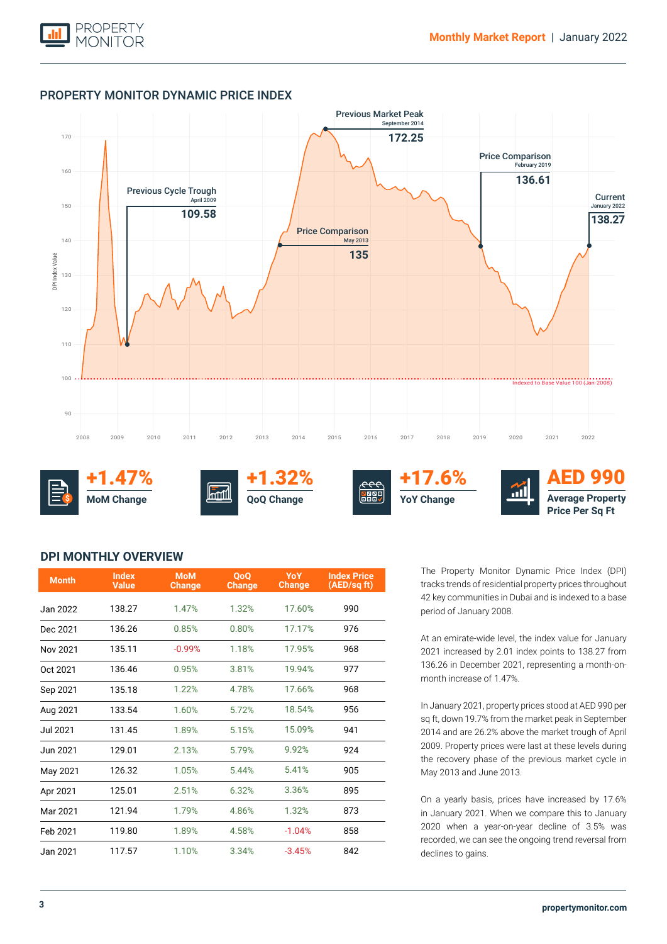

### PROPERTY MONITOR DYNAMIC PRICE INDEX



+1.47% **MoM Change \$**





+17.6% **YoY Change**



AED 990 **Average Property Price Per Sq Ft**

### **DPI MONTHLY OVERVIEW**

| <b>Month</b>    | <b>Index</b><br><b>Value</b> | <b>MoM</b><br><b>Change</b> | <b>OoO</b><br><b>Change</b> | <b>YoY</b><br><b>Change</b> | <b>Index Price</b><br>(AED/sq ft) |
|-----------------|------------------------------|-----------------------------|-----------------------------|-----------------------------|-----------------------------------|
| Jan 2022        | 138.27                       | 1.47%                       | 1.32%                       | 17.60%                      | 990                               |
| Dec 2021        | 136.26                       | 0.85%                       | 0.80%                       | 17.17%                      | 976                               |
| Nov 2021        | 135.11                       | $-0.99%$                    | 1.18%                       | 17.95%                      | 968                               |
| Oct 2021        | 136.46                       | 0.95%                       | 3.81%                       | 19.94%                      | 977                               |
| Sep 2021        | 135.18                       | 1.22%                       | 4.78%                       | 17.66%                      | 968                               |
| Aug 2021        | 133.54                       | 1.60%                       | 5.72%                       | 18.54%                      | 956                               |
| <b>Jul 2021</b> | 131.45                       | 1.89%                       | 5.15%                       | 15.09%                      | 941                               |
| Jun 2021        | 129.01                       | 2.13%                       | 5.79%                       | 9.92%                       | 924                               |
| May 2021        | 126.32                       | 1.05%                       | 5.44%                       | 5.41%                       | 905                               |
| Apr 2021        | 125.01                       | 2.51%                       | 6.32%                       | 3.36%                       | 895                               |
| Mar 2021        | 121.94                       | 1.79%                       | 4.86%                       | 1.32%                       | 873                               |
| Feb 2021        | 119.80                       | 1.89%                       | 4.58%                       | $-1.04%$                    | 858                               |
| Jan 2021        | 117.57                       | 1.10%                       | 3.34%                       | $-3.45%$                    | 842                               |

The Property Monitor Dynamic Price Index (DPI) tracks trends of residential property prices throughout 42 key communities in Dubai and is indexed to a base period of January 2008.

At an emirate-wide level, the index value for January 2021 increased by 2.01 index points to 138.27 from 136.26 in December 2021, representing a month-onmonth increase of 1.47%.

In January 2021, property prices stood at AED 990 per sq ft, down 19.7% from the market peak in September 2014 and are 26.2% above the market trough of April 2009. Property prices were last at these levels during the recovery phase of the previous market cycle in May 2013 and June 2013.

On a yearly basis, prices have increased by 17.6% in January 2021. When we compare this to January 2020 when a year-on-year decline of 3.5% was recorded, we can see the ongoing trend reversal from declines to gains.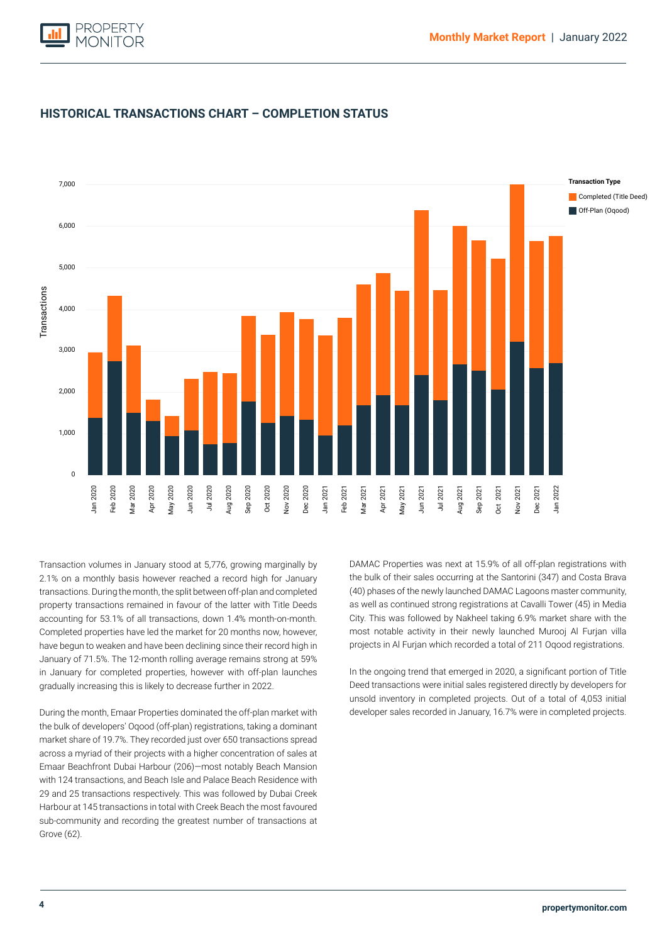



### **HISTORICAL TRANSACTIONS CHART – COMPLETION STATUS**

property transactions remained in favour of the latter with Title Deeds Completed (Title Deed) accounting for 53.1% of all transactions, down 1.4% month-on-month. Transaction volumes in January stood at 5,776, growing marginally by 2.1% on a monthly basis however reached a record high for January transactions. During the month, the split between off-plan and completed Completed properties have led the market for 20 months now, however, have begun to weaken and have been declining since their record high in January of 71.5%. The 12-month rolling average remains strong at 59% in January for completed properties, however with off-plan launches gradually increasing this is likely to decrease further in 2022.

During the month, Emaar Properties dominated the off-plan market with the bulk of developers' Oqood (off-plan) registrations, taking a dominant market share of 19.7%. They recorded just over 650 transactions spread across a myriad of their projects with a higher concentration of sales at Emaar Beachfront Dubai Harbour (206)—most notably Beach Mansion with 124 transactions, and Beach Isle and Palace Beach Residence with 29 and 25 transactions respectively. This was followed by Dubai Creek Harbour at 145 transactions in total with Creek Beach the most favoured sub-community and recording the greatest number of transactions at Grove (62).

DAMAC Properties was next at 15.9% of all off-plan registrations with the bulk of their sales occurring at the Santorini (347) and Costa Brava (40) phases of the newly launched DAMAC Lagoons master community, as well as continued strong registrations at Cavalli Tower (45) in Media City. This was followed by Nakheel taking 6.9% market share with the most notable activity in their newly launched Murooj Al Furjan villa projects in Al Furjan which recorded a total of 211 Oqood registrations.

In the ongoing trend that emerged in 2020, a significant portion of Title Deed transactions were initial sales registered directly by developers for unsold inventory in completed projects. Out of a total of 4,053 initial developer sales recorded in January, 16.7% were in completed projects.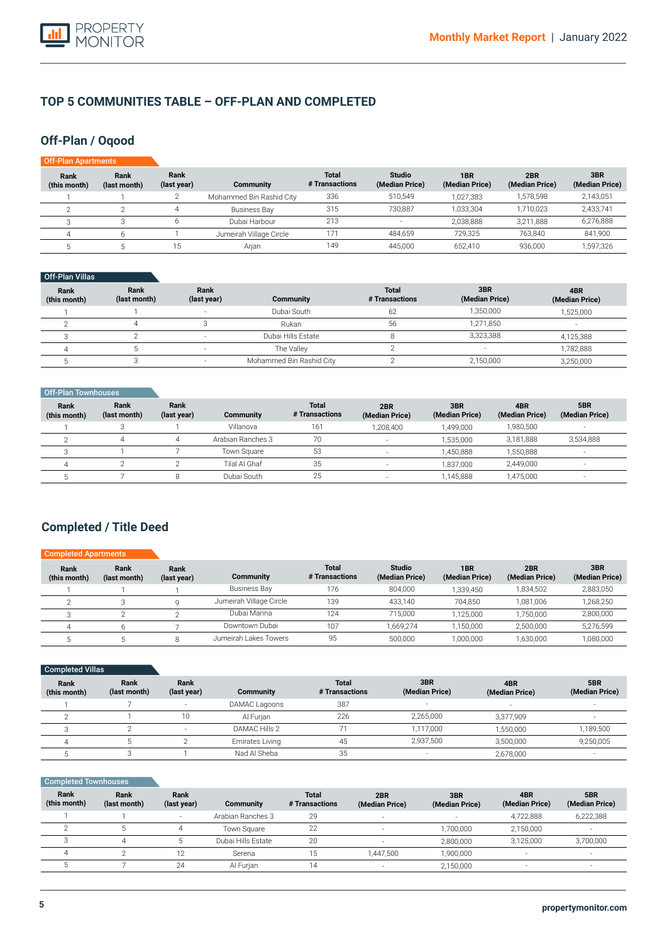

### **TOP 5 COMMUNITIES TABLE – OFF-PLAN AND COMPLETED**

### **Off-Plan / Oqood**

| Off-Plan Apartments  |                      |                     |                          |                                |                                 |                                   |                       |                       |
|----------------------|----------------------|---------------------|--------------------------|--------------------------------|---------------------------------|-----------------------------------|-----------------------|-----------------------|
| Rank<br>(this month) | Rank<br>(last month) | Rank<br>(last year) | <b>Community</b>         | <b>Total</b><br># Transactions | <b>Studio</b><br>(Median Price) | 1 <sub>BR</sub><br>(Median Price) | 2BR<br>(Median Price) | 3BR<br>(Median Price) |
|                      |                      |                     | Mohammed Bin Rashid City | 336                            | 510,549                         | 1.027.383                         | 1.578.598             | 2,143,051             |
|                      |                      |                     | Business Bay             | 315                            | 730.887                         | 1,033,304                         | 1,710,023             | 2,433,741             |
|                      |                      |                     | Dubai Harbour            | 213                            | $\overline{\phantom{a}}$        | 2,038,888                         | 3,211,888             | 6,276,888             |
|                      | h                    |                     | Jumeirah Village Circle  | 171                            | 484,659                         | 729.325                           | 763.840               | 841,900               |
|                      |                      | 15                  | Arian                    | 149                            | 445.000                         | 652.410                           | 936.000               | 1,597,326             |

| Off-Plan Villas |  |
|-----------------|--|

| Rank<br>(this month) | Rank<br>(last month) | Rank<br>(last year) | Community                | <b>Total</b><br># Transactions | 3BR<br>(Median Price)    | 4BR<br>(Median Price) |
|----------------------|----------------------|---------------------|--------------------------|--------------------------------|--------------------------|-----------------------|
|                      |                      |                     | Dubai South              | 62                             | 1,350,000                | 1,525,000             |
|                      |                      |                     | Rukan                    | 56                             | 1.271.850                |                       |
|                      |                      |                     | Dubai Hills Estate       |                                | 3,323,388                | 4,125,388             |
|                      |                      |                     | The Valley               |                                | $\overline{\phantom{a}}$ | ,782,888              |
|                      |                      |                     | Mohammed Bin Rashid City |                                | 2,150,000                | 3,250,000             |

| Off-Plan Townhouses         |                      |                     |                   |                                |                       |                       |                       |                       |
|-----------------------------|----------------------|---------------------|-------------------|--------------------------------|-----------------------|-----------------------|-----------------------|-----------------------|
| <b>Rank</b><br>(this month) | Rank<br>(last month) | Rank<br>(last year) | Community         | <b>Total</b><br># Transactions | 2BR<br>(Median Price) | 3BR<br>(Median Price) | 4BR<br>(Median Price) | 5BR<br>(Median Price) |
|                             |                      |                     | Villanova         | 161                            | 1.208.400             | 1,499,000             | 1,980,500             |                       |
|                             |                      |                     | Arabian Ranches 3 | 70                             |                       | 1.535.000             | 3,181,888             | 3,534,888             |
|                             |                      |                     | Town Square       | 53                             |                       | 1.450.888             | 1,550,888             | $\sim$                |
| 4                           |                      |                     | Tilal Al Ghaf     | 35                             |                       | 1.837.000             | 2,449,000             | $-$                   |
|                             |                      |                     | Dubai South       | 25                             |                       | 1,145,888             | 1,475,000             | $\sim$                |

### **Completed / Title Deed**

| <b>Completed Apartments</b> |                      |                     |                         |                                |                                 |                       |                       |                       |
|-----------------------------|----------------------|---------------------|-------------------------|--------------------------------|---------------------------------|-----------------------|-----------------------|-----------------------|
| Rank<br>(this month)        | Rank<br>(last month) | Rank<br>(last year) | Community               | <b>Total</b><br># Transactions | <b>Studio</b><br>(Median Price) | 1BR<br>(Median Price) | 2BR<br>(Median Price) | 3BR<br>(Median Price) |
|                             |                      |                     | <b>Business Bay</b>     | 176                            | 804.000                         | 1,339,450             | 1,834,502             | 2,883,050             |
|                             |                      |                     | Jumeirah Village Circle | 139                            | 433.140                         | 704.850               | 1.081.006             | 1,268,250             |
|                             |                      |                     | Dubai Marina            | 124                            | 715.000                         | 1.125.000             | 1.750.000             | 2,800,000             |
|                             |                      |                     | Downtown Dubai          | 107                            | 1.669.274                       | 1.150.000             | 2.500.000             | 5,276,599             |
|                             |                      |                     | Jumeirah Lakes Towers   | 95                             | 500,000                         | 1.000.000             | 1,630,000             | 1,080,000             |

| Completed Villas     |                      |                          |                  |                                |                          |                       |                       |
|----------------------|----------------------|--------------------------|------------------|--------------------------------|--------------------------|-----------------------|-----------------------|
| Rank<br>(this month) | Rank<br>(last month) | Rank<br>(last year)      | <b>Community</b> | <b>Total</b><br># Transactions | 3BR<br>(Median Price)    | 4BR<br>(Median Price) | 5BR<br>(Median Price) |
|                      |                      | $\overline{\phantom{a}}$ | DAMAC Lagoons    | 387                            | $\overline{\phantom{a}}$ |                       |                       |
|                      |                      | 10                       | Al Furjan        | 226                            | 2,265,000                | 3.377.909             |                       |
|                      |                      | $\overline{\phantom{a}}$ | DAMAC Hills 2    |                                | 1,117,000                | 1,550,000             | 1,189,500             |
|                      |                      |                          | Emirates Living  | 45                             | 2,937,500                | 3,500,000             | 9,250,005             |
|                      |                      |                          | Nad Al Sheba     | 35                             |                          | 2,678,000             |                       |

| <b>Completed Townhouses</b> |                      |                          |                    |                                |                       |                       |                          |                       |
|-----------------------------|----------------------|--------------------------|--------------------|--------------------------------|-----------------------|-----------------------|--------------------------|-----------------------|
| Rank<br>(this month)        | Rank<br>(last month) | Rank<br>(last year)      | Community          | <b>Total</b><br># Transactions | 2BR<br>(Median Price) | 3BR<br>(Median Price) | 4BR<br>(Median Price)    | 5BR<br>(Median Price) |
|                             |                      | $\overline{\phantom{a}}$ | Arabian Ranches 3  | 29                             | $\sim$                |                       | 4,722,888                | 6,222,388             |
|                             |                      | 4                        | Town Square        | 22                             |                       | 1,700,000             | 2,150,000                |                       |
|                             |                      |                          | Dubai Hills Estate | 20                             | $\sim$                | 2,800,000             | 3.125.000                | 3,700,000             |
| 4                           |                      | 12                       | Serena             | 15                             | 1,447,500             | 1,900,000             | $\overline{\phantom{a}}$ | $\sim$                |
|                             |                      | 24                       | Al Furjan          | 14                             |                       | 2,150,000             | $\overline{\phantom{a}}$ |                       |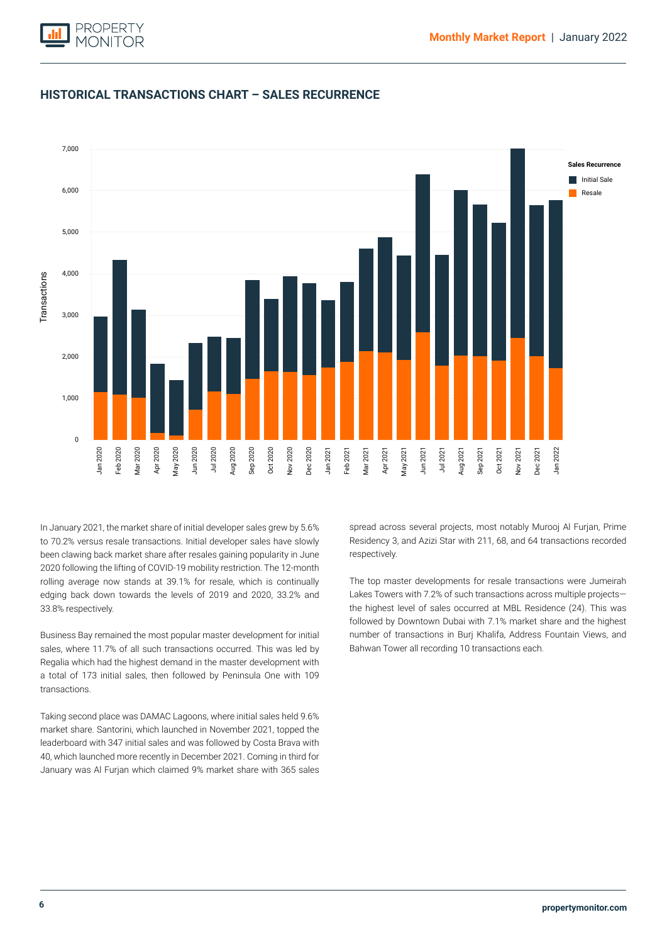

### **HISTORICAL TRANSACTIONS CHART – SALES RECURRENCE**



2020 following the lifting of COVID-19 mobility restriction. The 12-month rolling average now stands at 39.1% for resale, which is continually edging back down towards the levels of 2019 and 2020, 33.2% and In January 2021, the market share of initial developer sales grew by 5.6% to 70.2% versus resale transactions. Initial developer sales have slowly been clawing back market share after resales gaining popularity in June 33.8% respectively.

Business Bay remained the most popular master development for initial sales, where 11.7% of all such transactions occurred. This was led by Regalia which had the highest demand in the master development with a total of 173 initial sales, then followed by Peninsula One with 109 transactions.

Taking second place was DAMAC Lagoons, where initial sales held 9.6% market share. Santorini, which launched in November 2021, topped the leaderboard with 347 initial sales and was followed by Costa Brava with 40, which launched more recently in December 2021. Coming in third for January was Al Furjan which claimed 9% market share with 365 sales spread across several projects, most notably Murooj Al Furjan, Prime Residency 3, and Azizi Star with 211, 68, and 64 transactions recorded respectively.

The top master developments for resale transactions were Jumeirah Lakes Towers with 7.2% of such transactions across multiple projects the highest level of sales occurred at MBL Residence (24). This was followed by Downtown Dubai with 7.1% market share and the highest number of transactions in Burj Khalifa, Address Fountain Views, and Bahwan Tower all recording 10 transactions each.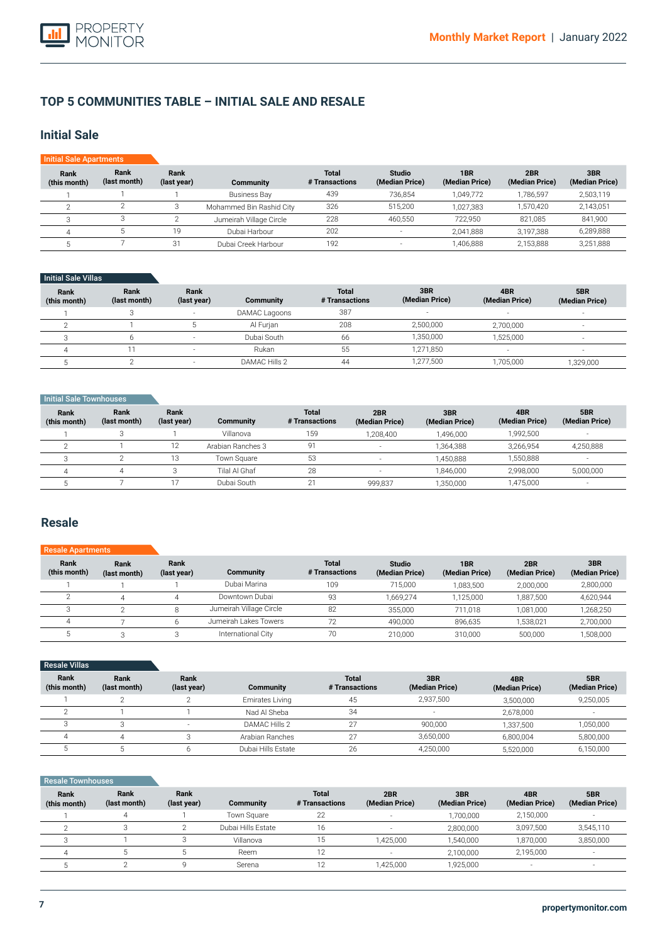

### **TOP 5 COMMUNITIES TABLE – INITIAL SALE AND RESALE**

### **Initial Sale**

| <b>Initial Sale Apartments</b> |                      |                     |                          |                                |                                 |                       |                       |                       |
|--------------------------------|----------------------|---------------------|--------------------------|--------------------------------|---------------------------------|-----------------------|-----------------------|-----------------------|
| Rank<br>(this month)           | Rank<br>(last month) | Rank<br>(last year) | Community                | <b>Total</b><br># Transactions | <b>Studio</b><br>(Median Price) | 1BR<br>(Median Price) | 2BR<br>(Median Price) | 3BR<br>(Median Price) |
|                                |                      |                     | <b>Business Bay</b>      | 439                            | 736,854                         | 1.049.772             | 1.786.597             | 2,503,119             |
|                                |                      |                     | Mohammed Bin Rashid City | 326                            | 515.200                         | 1.027.383             | 1.570.420             | 2,143,051             |
|                                |                      |                     | Jumeirah Village Circle  | 228                            | 460.550                         | 722.950               | 821.085               | 841,900               |
|                                |                      | 19                  | Dubai Harbour            | 202                            | н.                              | 2,041,888             | 3,197,388             | 6,289,888             |
|                                |                      | 31                  | Dubai Creek Harbour      | 192                            |                                 | 1,406,888             | 2,153,888             | 3,251,888             |

#### Initial Sale Villas

| Rank<br>(this month) | Rank<br>(last month) | Rank<br>(last year) | Community     | <b>Total</b><br># Transactions | 3BR<br>(Median Price) | 4BR<br>(Median Price)    | 5BR<br>(Median Price)    |
|----------------------|----------------------|---------------------|---------------|--------------------------------|-----------------------|--------------------------|--------------------------|
|                      |                      | $\sim$              | DAMAC Lagoons | 387                            | $\sim$                | $\overline{\phantom{a}}$ | $\sim$                   |
|                      |                      |                     | Al Furian     | 208                            | 2,500,000             | 2,700,000                |                          |
|                      |                      | . .                 | Dubai South   | 66                             | 1,350,000             | 1,525,000                | $\sim$                   |
|                      |                      | . .                 | Rukan         | 55                             | 1.271.850             | . .                      | $\overline{\phantom{a}}$ |
|                      |                      |                     | DAMAC Hills 2 | 44                             | 1,277,500             | ,705,000                 | 1,329,000                |

#### **Initial Sale Townhouses**

| Rank<br>(this month) | Rank<br>(last month) | Rank<br>(last year)  | Community         | <b>Total</b><br># Transactions | 2BR<br>(Median Price)    | 3BR<br>(Median Price) | 4BR<br>(Median Price) | 5BR<br>(Median Price)    |
|----------------------|----------------------|----------------------|-------------------|--------------------------------|--------------------------|-----------------------|-----------------------|--------------------------|
|                      |                      |                      | Villanova         | 159                            | 1.208.400                | 1.496.000             | 1.992.500             |                          |
|                      |                      | 1 <sub>0</sub><br>ΙZ | Arabian Ranches 3 | g·                             | $\overline{\phantom{a}}$ | .364.388              | 3.266.954             | 4,250,888                |
|                      |                      | 13                   | Town Square       | 53                             |                          | 1.450.888             | 1,550,888             | $\sim$                   |
|                      |                      |                      | Tilal Al Ghaf     | 28                             |                          | 1.846.000             | 2.998.000             | 5,000,000                |
|                      |                      |                      | Dubai South       |                                | 999.837                  | ,350,000              | 1,475,000             | $\overline{\phantom{a}}$ |

### **Resale**

#### **Rank (this month)** 1  $\overline{2}$ 3 4 5 **Rank (last month)** 1 4 2 7 3 **Rank (last year)** 1 4 8 6 3 **Community**  Dubai Marina Downtown Dubai Jumeirah Village Circle Jumeirah Lakes Towers International City **Total # Transactions** 109 93  $\overline{82}$ 72 70 Resale A **Studio (Median Price)** 715,000 1,669,274 355,000 490,000 210,000 **1BR (Median Price)** 1,083,500 1,125,000 711,018 896,635 310,000 **2BR (Median Price)** 2,000,000 1,887,500 1,081,000 1,538,021 500,000 **3BR (Median Price)** 2,800,000 4,620,944 1,268,250 2,700,000 1,508,000

| <b>Resale Villas</b> |                      |                     |                    |                                |                       |                       |                       |
|----------------------|----------------------|---------------------|--------------------|--------------------------------|-----------------------|-----------------------|-----------------------|
| Rank<br>(this month) | Rank<br>(last month) | Rank<br>(last year) | <b>Community</b>   | <b>Total</b><br># Transactions | 3BR<br>(Median Price) | 4BR<br>(Median Price) | 5BR<br>(Median Price) |
|                      |                      |                     | Emirates Living    | 45                             | 2,937,500             | 3,500,000             | 9,250,005             |
| $\sqrt{2}$           |                      |                     | Nad Al Sheba       | 34                             |                       | 2.678.000             |                       |
|                      |                      |                     | DAMAC Hills 2      | 27                             | 900.000               | 1,337,500             | 1,050,000             |
|                      |                      |                     | Arabian Ranches    | 27                             | 3,650,000             | 6.800.004             | 5,800,000             |
|                      |                      |                     | Dubai Hills Estate | 26                             | 4,250,000             | 5,520,000             | 6,150,000             |

#### **Rank**  Resale Townhouses

| Rank<br>(this month) | Rank<br>(last month) | Rank<br>(last year) | <b>Community</b>   | Total<br># Transactions | 2BR<br>(Median Price) | 3BR<br>(Median Price) | 4BR<br>(Median Price)    | 5BR<br>(Median Price) |
|----------------------|----------------------|---------------------|--------------------|-------------------------|-----------------------|-----------------------|--------------------------|-----------------------|
|                      | Δ                    |                     | Town Square        | 22                      |                       | 1.700.000             | 2.150.000                |                       |
|                      |                      |                     | Dubai Hills Estate | 16                      |                       | 2,800,000             | 3,097,500                | 3,545,110             |
|                      |                      |                     | Villanova          |                         | 1.425.000             | 1.540.000             | 1,870,000                | 3,850,000             |
|                      |                      |                     | Reem               |                         |                       | 2.100.000             | 2.195.000                |                       |
|                      |                      |                     | Serena             |                         | 1.425.000             | 1,925,000             | $\overline{\phantom{a}}$ | $\sim$                |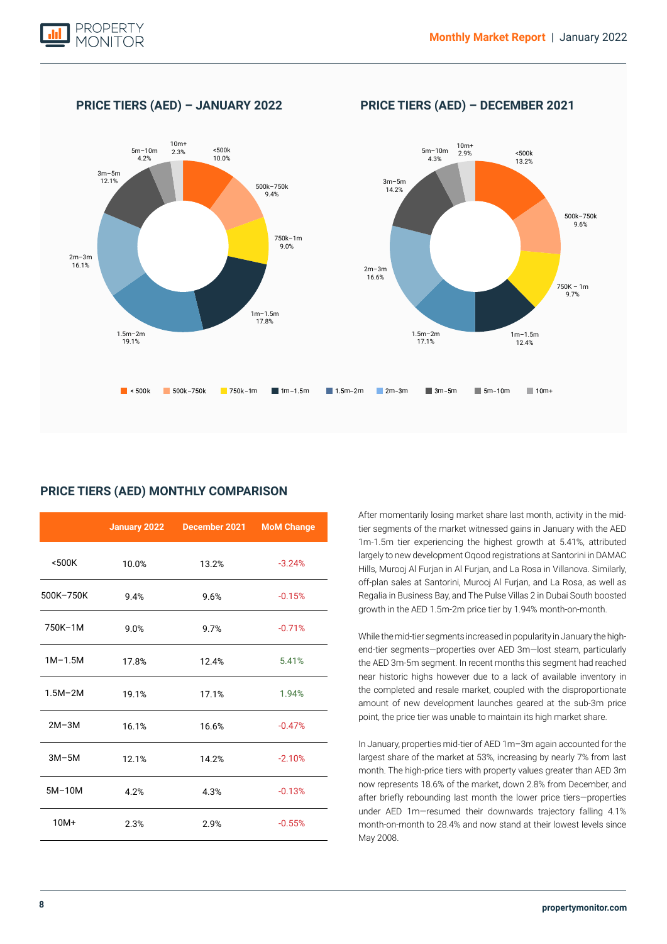

### **PRICE TIERS (AED) – JANUARY 2022 PRICE TIERS (AED) – DECEMBER 2021**



### **PRICE TIERS (AED) MONTHLY COMPARISON**

|             |       | January 2022 December 2021 | <b>MoM Change</b> |
|-------------|-------|----------------------------|-------------------|
| $500K$      | 10.0% | 13.2%                      | $-3.24%$          |
| 500K-750K   | 9.4%  | 9.6%                       | $-0.15%$          |
| 750K-1M     | 9.0%  | 9.7%                       | $-0.71%$          |
| $1M-1.5M$   | 17.8% | 12.4%                      | 5.41%             |
| $1.5M - 2M$ | 19.1% | 17.1%                      | 1.94%             |
| $2M-3M$     | 16.1% | 16.6%                      | $-0.47%$          |
| $3M-5M$     | 12.1% | 14.2%                      | $-2.10%$          |
| $5M-10M$    | 4.2%  | 4.3%                       | $-0.13%$          |
| $10M+$      | 2.3%  | 2.9%                       | $-0.55%$          |

After momentarily losing market share last month, activity in the midtier segments of the market witnessed gains in January with the AED 1m-1.5m tier experiencing the highest growth at 5.41%, attributed largely to new development Oqood registrations at Santorini in DAMAC Hills, Murooj Al Furjan in Al Furjan, and La Rosa in Villanova. Similarly, off-plan sales at Santorini, Murooj Al Furjan, and La Rosa, as well as Regalia in Business Bay, and The Pulse Villas 2 in Dubai South boosted growth in the AED 1.5m-2m price tier by 1.94% month-on-month.

While the mid-tier segments increased in popularity in January the highend-tier segments—properties over AED 3m—lost steam, particularly the AED 3m-5m segment. In recent months this segment had reached near historic highs however due to a lack of available inventory in the completed and resale market, coupled with the disproportionate amount of new development launches geared at the sub-3m price point, the price tier was unable to maintain its high market share.

In January, properties mid-tier of AED 1m–3m again accounted for the largest share of the market at 53%, increasing by nearly 7% from last month. The high-price tiers with property values greater than AED 3m now represents 18.6% of the market, down 2.8% from December, and after briefly rebounding last month the lower price tiers—properties under AED 1m—resumed their downwards trajectory falling 4.1% month-on-month to 28.4% and now stand at their lowest levels since May 2008.